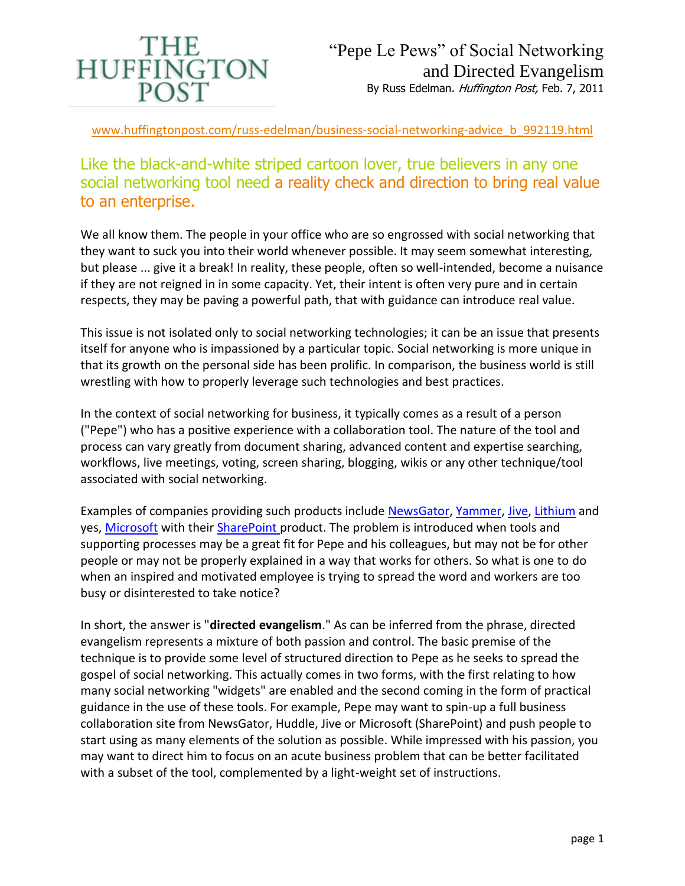

www.huffingtonpost.com/russ-edelman/business-social-networking-advice\_b\_992119.html

Like the black-and-white striped cartoon lover, true believers in any one social networking tool need a reality check and direction to bring real value to an enterprise.

We all know them. The people in your office who are so engrossed with social networking that they want to suck you into their world whenever possible. It may seem somewhat interesting, but please ... give it a break! In reality, these people, often so well-intended, become a nuisance if they are not reigned in in some capacity. Yet, their intent is often very pure and in certain respects, they may be paving a powerful path, that with guidance can introduce real value.

This issue is not isolated only to social networking technologies; it can be an issue that presents itself for anyone who is impassioned by a particular topic. Social networking is more unique in that its growth on the personal side has been prolific. In comparison, the business world is still wrestling with how to properly leverage such technologies and best practices.

In the context of social networking for business, it typically comes as a result of a person ("Pepe") who has a positive experience with a collaboration tool. The nature of the tool and process can vary greatly from document sharing, advanced content and expertise searching, workflows, live meetings, voting, screen sharing, blogging, wikis or any other technique/tool associated with social networking.

Examples of companies providing such products include [NewsGator,](http://www.newsgator.com/) [Yammer,](https://www.yammer.com/) [Jive,](http://www.jivesoftware.com/) [Lithium](http://www.lithium.com/) and yes, [Microsoft](http://www.microsoft.com/) with their [SharePoint p](http://sharepoint.microsoft.com/en-us/Pages/default.aspx)roduct. The problem is introduced when tools and supporting processes may be a great fit for Pepe and his colleagues, but may not be for other people or may not be properly explained in a way that works for others. So what is one to do when an inspired and motivated employee is trying to spread the word and workers are too busy or disinterested to take notice?

In short, the answer is "**directed evangelism**." As can be inferred from the phrase, directed evangelism represents a mixture of both passion and control. The basic premise of the technique is to provide some level of structured direction to Pepe as he seeks to spread the gospel of social networking. This actually comes in two forms, with the first relating to how many social networking "widgets" are enabled and the second coming in the form of practical guidance in the use of these tools. For example, Pepe may want to spin-up a full business collaboration site from NewsGator, Huddle, Jive or Microsoft (SharePoint) and push people to start using as many elements of the solution as possible. While impressed with his passion, you may want to direct him to focus on an acute business problem that can be better facilitated with a subset of the tool, complemented by a light-weight set of instructions.